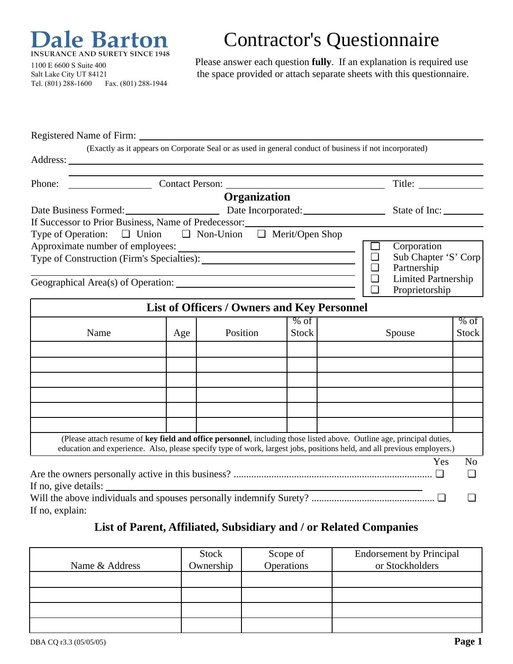

Contractor's Questionnaire

1100 E 6600 S Suite 400 Salt Lake City UT 84121 Tel. (801) 288-1600 Fax. (801) 288-1944 Please answer each question **fully**. If an explanation is required use the space provided or attach separate sheets with this questionnaire.

Registered Name of Firm: (Exactly as it appears on Corporate Seal or as used in general conduct of business if not incorporated) Address: Phone: Contact Person: Title: Title: Title: **Organization** Date Business Formed: <u>Demandial</u> Date Incorporated: State of Inc: If Successor to Prior Business, Name of Predecessor: Type of Operation: ❏ Union ❏ Non-Union ❏ Merit/Open Shop Approximate number of employees: ❏ Corporation Type of Construction (Firm's Specialties): ❏ Sub Chapter 'S' Corp ❏ Partnership  $\Box$  Limited Partnership Geographical Area(s) of Operation: ❏ Proprietorship **List of Officers / Owners and Key Personnel** % of % of Name Age Position Stock Spouse Stock (Please attach resume of **key field and office personnel**, including those listed above. Outline age, principal duties, education and experience. Also, please specify type of work, largest jobs, positions held, and all previous employers.) Yes No Are the owners personally active in this business? ............................................................................... ❏ ❏ If no, give details: Will the above individuals and spouses personally indemnify Surety? ................................................. ❏ ❏ If no, explain:

## **List of Parent, Affiliated, Subsidiary and / or Related Companies**

|                | <b>Stock</b> | Scope of   | <b>Endorsement by Principal</b> |
|----------------|--------------|------------|---------------------------------|
| Name & Address | Ownership    | Operations | or Stockholders                 |
|                |              |            |                                 |
|                |              |            |                                 |
|                |              |            |                                 |
|                |              |            |                                 |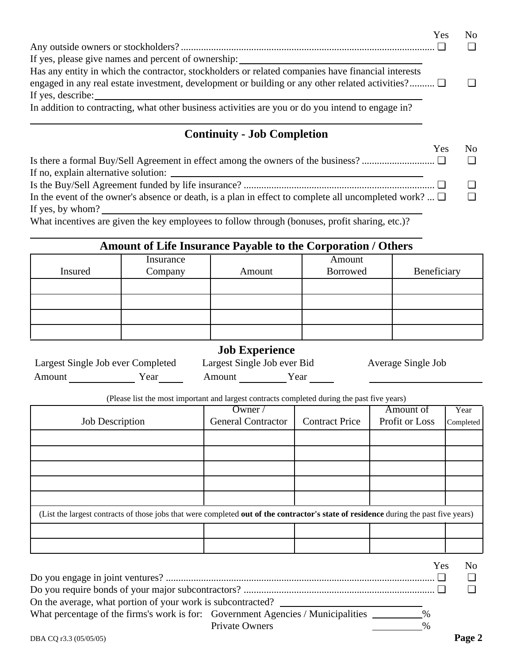|                                                                                                    | Yes | No |
|----------------------------------------------------------------------------------------------------|-----|----|
|                                                                                                    |     |    |
| If yes, please give names and percent of ownership:                                                |     |    |
| Has any entity in which the contractor, stockholders or related companies have financial interests |     |    |
| engaged in any real estate investment, development or building or any other related activities?    |     |    |
| If yes, describe:                                                                                  |     |    |
| In addition to contracting, what other business activities are you or do you intend to engage in?  |     |    |
|                                                                                                    |     |    |

## **Continuity - Job Completion**

|                                                                                                            | Yes | $N_{\Omega}$ |
|------------------------------------------------------------------------------------------------------------|-----|--------------|
|                                                                                                            |     |              |
|                                                                                                            |     |              |
|                                                                                                            |     |              |
| In the event of the owner's absence or death, is a plan in effect to complete all uncompleted work? $\Box$ |     |              |
| If yes, by whom?                                                                                           |     |              |

What incentives are given the key employees to follow through (bonuses, profit sharing, etc.)?

# **Amount of Life Insurance Payable to the Corporation / Others**

|         | Insurance |        | Amount   |             |
|---------|-----------|--------|----------|-------------|
| Insured | Company   | Amount | Borrowed | Beneficiary |
|         |           |        |          |             |
|         |           |        |          |             |
|         |           |        |          |             |
|         |           |        |          |             |

#### **Job Experience**

Largest Single Job ever Completed Largest Single Job ever Bid Average Single Job Amount Year Amount Year Year

(Please list the most important and largest contracts completed during the past five years)

|                                                                                                                                      | Owner $\sqrt{}$           |                       | Amount of             | Year           |
|--------------------------------------------------------------------------------------------------------------------------------------|---------------------------|-----------------------|-----------------------|----------------|
| <b>Job Description</b>                                                                                                               | <b>General Contractor</b> | <b>Contract Price</b> | <b>Profit or Loss</b> | Completed      |
|                                                                                                                                      |                           |                       |                       |                |
|                                                                                                                                      |                           |                       |                       |                |
|                                                                                                                                      |                           |                       |                       |                |
|                                                                                                                                      |                           |                       |                       |                |
|                                                                                                                                      |                           |                       |                       |                |
|                                                                                                                                      |                           |                       |                       |                |
| (List the largest contracts of those jobs that were completed out of the contractor's state of residence during the past five years) |                           |                       |                       |                |
|                                                                                                                                      |                           |                       |                       |                |
|                                                                                                                                      |                           |                       |                       |                |
|                                                                                                                                      |                           |                       |                       |                |
|                                                                                                                                      |                           |                       | Yes                   | N <sub>0</sub> |
|                                                                                                                                      |                           |                       |                       |                |
|                                                                                                                                      |                           |                       |                       |                |
| On the average, what portion of your work is subcontracted?                                                                          |                           |                       |                       |                |

| What percentage of the firms's work is for: Government Agencies / Municipalities |                | $\%$ |
|----------------------------------------------------------------------------------|----------------|------|
|                                                                                  | Private Owners | $\%$ |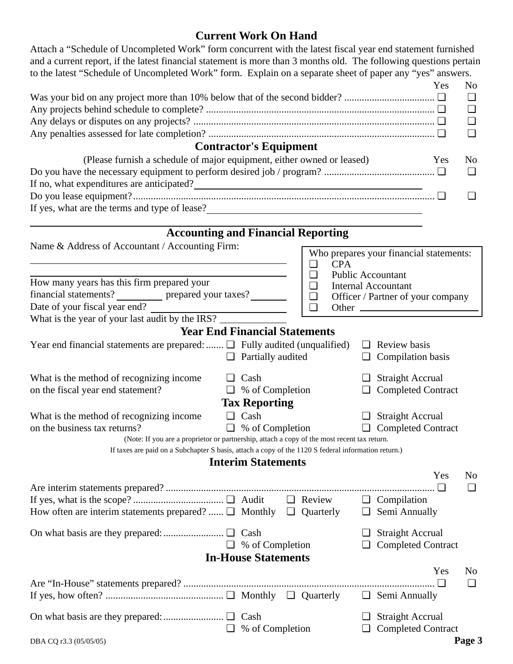### **Current Work On Hand** Attach a "Schedule of Uncompleted Work" form concurrent with the latest fiscal year end statement furnished

and a current report, if the latest financial statement is more than 3 months old. The following questions pertain to the latest "Schedule of Uncompleted Work" form. Explain on a separate sheet of paper any "yes" answers.

|                                                                                                     |  |                               |  |        |            |        |                                         | Yes | No             |
|-----------------------------------------------------------------------------------------------------|--|-------------------------------|--|--------|------------|--------|-----------------------------------------|-----|----------------|
|                                                                                                     |  |                               |  |        |            |        |                                         |     | ⊔              |
|                                                                                                     |  |                               |  |        |            |        |                                         |     | $\Box$         |
|                                                                                                     |  |                               |  |        |            |        |                                         | ❏   |                |
|                                                                                                     |  |                               |  |        |            |        |                                         |     | ❏              |
|                                                                                                     |  | <b>Contractor's Equipment</b> |  |        |            |        |                                         |     |                |
| (Please furnish a schedule of major equipment, either owned or leased)                              |  |                               |  |        |            |        |                                         | Yes | N <sub>0</sub> |
|                                                                                                     |  |                               |  |        |            |        |                                         |     | $\Box$         |
|                                                                                                     |  |                               |  |        |            |        |                                         |     |                |
|                                                                                                     |  |                               |  |        |            |        |                                         |     | ❏              |
| If yes, what are the terms and type of lease?<br><u>Letting and</u> type of lease?                  |  |                               |  |        |            |        |                                         |     |                |
|                                                                                                     |  |                               |  |        |            |        |                                         |     |                |
| <b>Accounting and Financial Reporting</b>                                                           |  |                               |  |        |            |        |                                         |     |                |
| Name & Address of Accountant / Accounting Firm:                                                     |  |                               |  |        |            |        | Who prepares your financial statements: |     |                |
|                                                                                                     |  |                               |  | $\Box$ | <b>CPA</b> |        |                                         |     |                |
|                                                                                                     |  |                               |  | $\Box$ |            |        | <b>Public Accountant</b>                |     |                |
| How many years has this firm prepared your                                                          |  |                               |  | $\Box$ |            |        | <b>Internal Accountant</b>              |     |                |
| financial statements? ___________ prepared your taxes? _______                                      |  |                               |  | $\Box$ |            |        | Officer / Partner of your company       |     |                |
| Date of your fiscal year end?                                                                       |  |                               |  | $\Box$ |            |        |                                         |     |                |
| What is the year of your last audit by the IRS?                                                     |  |                               |  |        |            |        |                                         |     |                |
| <b>Year End Financial Statements</b>                                                                |  |                               |  |        |            |        |                                         |     |                |
| Year end financial statements are prepared: $\Box$ Fully audited (unqualified)                      |  |                               |  |        |            |        | $\Box$ Review basis                     |     |                |
|                                                                                                     |  | $\Box$ Partially audited      |  |        |            |        | $\Box$ Compilation basis                |     |                |
| What is the method of recognizing income<br>⊔                                                       |  | Cash                          |  |        |            |        | <b>Straight Accrual</b>                 |     |                |
| on the fiscal year end statement?                                                                   |  | $\Box$ % of Completion        |  |        |            | $\Box$ | <b>Completed Contract</b>               |     |                |
|                                                                                                     |  | <b>Tax Reporting</b>          |  |        |            |        |                                         |     |                |
| What is the method of recognizing income                                                            |  | $\Box$ Cash                   |  |        |            |        | $\Box$ Straight Accrual                 |     |                |
| on the business tax returns?                                                                        |  | $\Box$ % of Completion        |  |        |            | $\Box$ | <b>Completed Contract</b>               |     |                |
| (Note: If you are a proprietor or partnership, attach a copy of the most recent tax return.         |  |                               |  |        |            |        |                                         |     |                |
| If taxes are paid on a Subchapter S basis, attach a copy of the 1120 S federal information return.) |  |                               |  |        |            |        |                                         |     |                |
|                                                                                                     |  | <b>Interim Statements</b>     |  |        |            |        |                                         |     |                |
|                                                                                                     |  |                               |  |        |            |        |                                         | Yes | N <sub>0</sub> |
|                                                                                                     |  |                               |  |        |            |        |                                         |     | $\Box$         |
|                                                                                                     |  |                               |  |        |            |        | $\Box$ Compilation                      |     |                |
| How often are interim statements prepared? $\Box$ Monthly $\Box$ Quarterly                          |  |                               |  |        |            | $\Box$ | Semi Annually                           |     |                |
|                                                                                                     |  |                               |  |        |            | ⊔      | <b>Straight Accrual</b>                 |     |                |
|                                                                                                     |  | $\Box$ % of Completion        |  |        |            |        | <b>Completed Contract</b>               |     |                |
|                                                                                                     |  | <b>In-House Statements</b>    |  |        |            |        |                                         |     |                |
|                                                                                                     |  |                               |  |        |            |        |                                         | Yes | N <sub>0</sub> |
|                                                                                                     |  |                               |  |        |            |        |                                         | □   | $\Box$         |
|                                                                                                     |  |                               |  |        |            |        | Semi Annually                           |     |                |
|                                                                                                     |  |                               |  |        |            |        |                                         |     |                |
|                                                                                                     |  |                               |  |        |            |        | <b>Straight Accrual</b>                 |     |                |
| ⊔                                                                                                   |  | % of Completion               |  |        |            |        | <b>Completed Contract</b>               |     |                |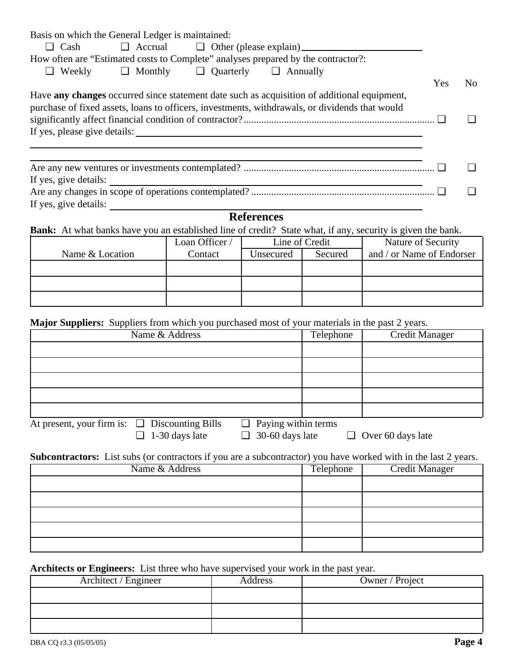|                       | Basis on which the General Ledger is maintained: |                                                               |                                                                                                                                                                                               |     |                |
|-----------------------|--------------------------------------------------|---------------------------------------------------------------|-----------------------------------------------------------------------------------------------------------------------------------------------------------------------------------------------|-----|----------------|
| $\Box$ Cash           |                                                  |                                                               | $\Box$ Accrual $\Box$ Other (please explain) $\Box$                                                                                                                                           |     |                |
|                       |                                                  |                                                               | How often are "Estimated costs to Complete" analyses prepared by the contractor?                                                                                                              |     |                |
|                       |                                                  | $\Box$ Weekly $\Box$ Monthly $\Box$ Quarterly $\Box$ Annually |                                                                                                                                                                                               |     |                |
|                       |                                                  |                                                               |                                                                                                                                                                                               | Yes | N <sub>0</sub> |
|                       |                                                  |                                                               | Have any changes occurred since statement date such as acquisition of additional equipment,<br>purchase of fixed assets, loans to officers, investments, withdrawals, or dividends that would |     |                |
|                       |                                                  |                                                               |                                                                                                                                                                                               |     |                |
|                       |                                                  |                                                               |                                                                                                                                                                                               |     |                |
|                       |                                                  |                                                               |                                                                                                                                                                                               |     |                |
|                       |                                                  |                                                               |                                                                                                                                                                                               |     |                |
|                       |                                                  |                                                               | If yes, give details:                                                                                                                                                                         |     |                |
|                       |                                                  |                                                               |                                                                                                                                                                                               |     |                |
| If yes, give details: |                                                  |                                                               |                                                                                                                                                                                               |     |                |

### **References**

**Bank:** At what banks have you an established line of credit? State what, if any, security is given the bank.

|                 | Loan Officer / |           | Line of Credit | Nature of Security        |
|-----------------|----------------|-----------|----------------|---------------------------|
| Name & Location | Contact        | Unsecured | Secured        | and / or Name of Endorser |
|                 |                |           |                |                           |
|                 |                |           |                |                           |
|                 |                |           |                |                           |
|                 |                |           |                |                           |

**Major Suppliers:** Suppliers from which you purchased most of your materials in the past 2 years.

| Name & Address                                                                   | Telephone | Credit Manager |
|----------------------------------------------------------------------------------|-----------|----------------|
|                                                                                  |           |                |
|                                                                                  |           |                |
|                                                                                  |           |                |
|                                                                                  |           |                |
|                                                                                  |           |                |
| $\Box$ Paying within terms<br>At present, your firm is: $\Box$ Discounting Bills |           |                |

 $\Box$  1-30 days late  $\Box$  30-60 days late  $\Box$  Over 60 days late

**Subcontractors:** List subs (or contractors if you are a subcontractor) you have worked with in the last 2 years.

| Name & Address | Telephone | <b>Credit Manager</b> |
|----------------|-----------|-----------------------|
|                |           |                       |
|                |           |                       |
|                |           |                       |
|                |           |                       |
|                |           |                       |

#### **Architects or Engineers:** List three who have supervised your work in the past year.

| Architect / Engineer | Address | Owner / Project |
|----------------------|---------|-----------------|
|                      |         |                 |
|                      |         |                 |
|                      |         |                 |